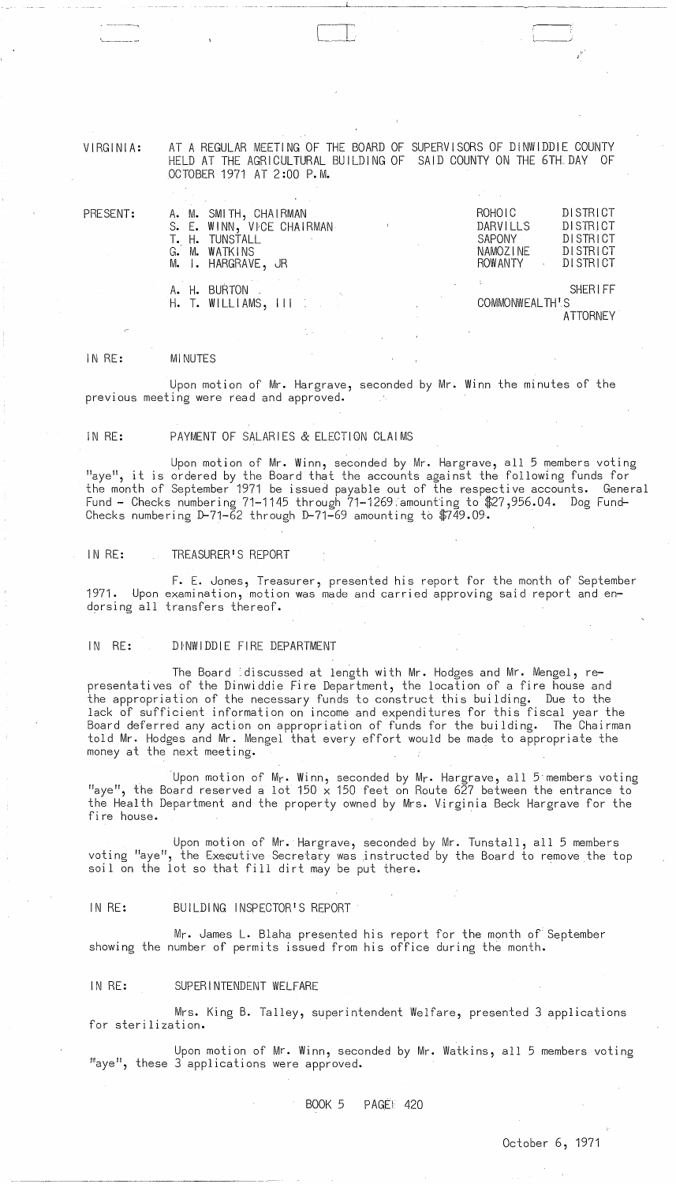VIRGINIA:

'---------~

AT A REGULAR MEETING OF THE BOARD OF SUPERVISORS OF DINWIDDIE COUNTY HELD AT THE AGRICULTURAL BUILDING OF SAID COUNTY ON THE 6TH DAY OF OCTOBER 1971 AT 2 :00 P. M.

 $\cup$ 

---.~.---~--~---- --------------

| PRESENT: | A. M. SMITH, CHAIRMAN<br>S. E. WINN, VICE CHAIRMAN<br>T. H. TUNSTALL<br>G. M. WATKINS<br>M. I. HARGRAVE, JR |  |  | <b>ROHOIC</b><br>DARVILLS<br>SAPONY<br>NAMOZINE<br><b>ROW ANTY</b> | <b>DISTRICT</b><br><b>DISTRICT</b><br>DISTRICT<br>DISTRICT<br>DISTRICT |
|----------|-------------------------------------------------------------------------------------------------------------|--|--|--------------------------------------------------------------------|------------------------------------------------------------------------|
|          | A. H. BURTON . A. BORTON<br>$H.$ T. WILLIAMS, $III.$                                                        |  |  | COMMONWEALTH'S                                                     | <b>SHERIFF</b><br><b>ATTORNEY</b>                                      |

#### IN RE: MINUTES

Upon motion of Mr. Hargrave, seconded by Mr. Winn the minutes of the previous meeting were read and approved.

### IN RE: PAYMENT OF SALARIES & ELECTION CLAIMS

Upon motion of Mr. Winn, seconded by Mr. Hargrave, all 5 members voting "aye", it is ordered by the Board that the accounts against the following funds for the month of September 1971 be issued payable out of the respective accounts. General Fund - Checks numbering 71-1145 through  $71-1269$  amounting to \$27,956.04. Dog Fund-Checks numbering  $D-71-\overline{6}2$  through  $D-71-\overline{6}9$  amounting to  $\sqrt[4]{749.09}$ .

#### IN RE: TREASURER'S REPORT

F. E. Jones, Treasurer, presented his report for the month of September 1971. Upon examination, motion was made and carried approving said report and endorsing all transfers thereof.

#### IN RE: DINWIDDIE FIRE DEPARTMENT

The Board :discussed at length with Mr. Hodges and Mr. Mengel, representatives of the Dinwiddie Fire Department, the location of a fire house and the appropriation of the necessary funds to construct this building. Due to the lack of sufficient information on income and expenditures for this fiscal year the Board deferred any action on appropriation of funds for the building. The Chairman told Mr. Hodges and Mr. Mengel that every effort would be made to appropriate the money at the next meeting.

. Upon motion of Mr. Winn, seconded by Mr. Hargrave, all 5·members voting "aye", the Board reserved a lot 150  $\times$  150 feet on Route 627 between the entrance to the Health Department and the property owned by Mrs. Virginia Beck Hargrave for the fire house. .

Upon motion of Mr. Hargrave, seconded by Mr. Tunstall, all 5 members voting "aye", the Executive Secretary was instructed by the Board to remove the top soil on the lot so that fill dirt may be put there.

### IN RE: BUILDING INSPECTOR'S REPORT

Mr. James L. Blaha presented his report for the month of September showing the number of permits issued from his office during the month.

## IN RE: SUPERINTENDENT WELFARE

Mrs. King B. Talley, superintendent Welfare, presented 3 applications for sterilization.

Upon motion of Mr. Winn, seconded by Mr. Watkins, all 5 members voting "aye", these 3 applications were approved.

**BOOK 5 PAGE! 420**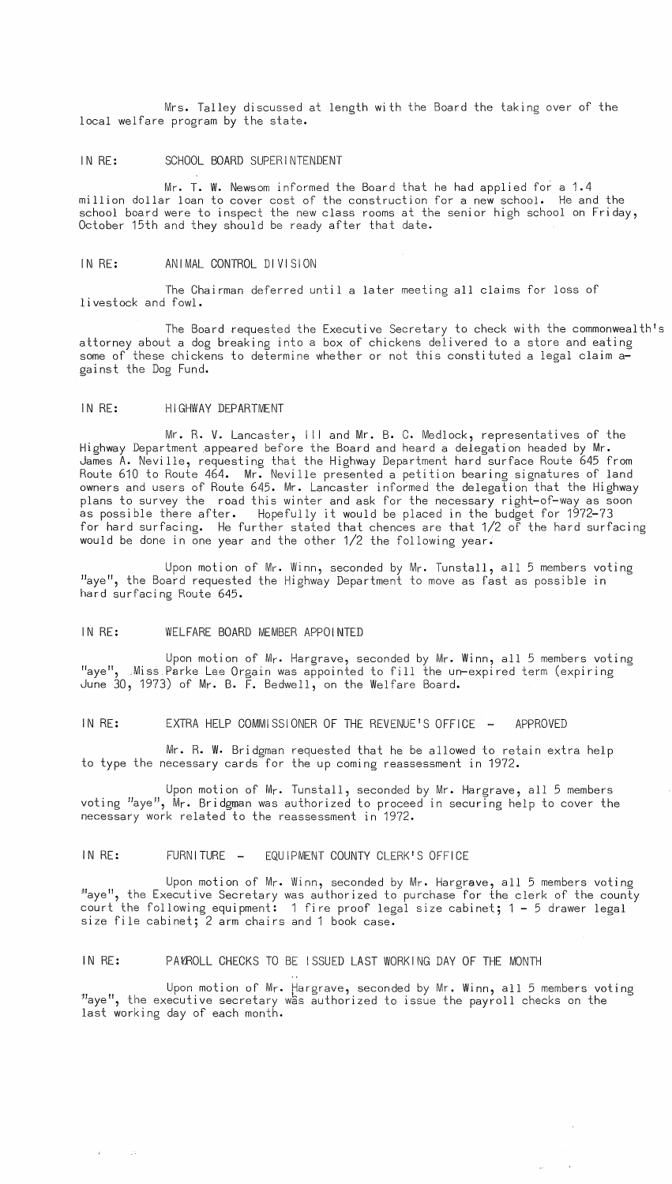Mrs. Talley discussed at length with the Board the taking over of the local welfare program by the state.

#### IN RE: SCHOOL BOARD SUPERINTENDENT

Mr. T. W. Newsom informed the Board that he had applied for a 1.4 million dollar loan to cover cost of the construction for a new school. He and the school board were to inspect the new class rooms at the senior high school on Friday, October 15th and they should be ready after that date.

# IN RE: ANIMAL CONTROL DIVISION

The Chairman deferred until a later meeting all claims for loss of livestock and fowl.

The Board requested the Executive Secretary to check with the commonwealth's attorney about a dog breaking into a box of chickens delivered to a store and eating some of these chickens to determine whether or not this constituted a legal claim against the Dog Fund.

#### IN RE: HIGHWAY DEPARTMENT

Mr. R. V. Lancaster, III and Mr. B. C. Medlock, representatives of the Highway Department appeared before the Board and heard a delegation headed by Mr. James A. Neville, requesting that the Highway Department hard surface Route 645 from Route 610 to Route 464. Mr. Neville presented a petition bearing signatures of land owners and users of Route 645. Mr. Lancaster informed the delegation that the Highway plans to survey the road this winter and ask for the necessary right-of-way as soon as possible there after. Hopefully it would be placed in the budget for 1972-73 for hard surfacing. He further stated that chences are that 1/2 of the hard surfacing would be done in one year and the other 1/2 the following year.

Upon motion of Mr. Winn, seconded by Mr. Tunstall, all 5 members voting "aye", the Board requested the Highway Department to move as fast as possible in hard surfacing Route 645.

# IN RE: WELFARE BOARD MEMBER APPOINTED

 $\sim 25$ 

Upon motion of Mr. Hargrave, seconded by Mr. Winn, all 5 members voting "aye", Miss Parke Lee Orgain was appointed to fill the un-expired term (expiring June 30, 1973) of Mr. B. F. Bedwell, on the Welfare Board.

# IN RE: EXTRA HELP COMMISSIONER OF THE REVENUE'S OFFICE - APPROVED

Mr. R. W. Bridgman requested that he be allowed to retain extra help to type the necessary cards for the up coming reassessment in 1972.

Upon motion of Mr. Tunstall, seconded by Mr. Hargrave, all 5 members voting "aye", Mr. Bridgman was authorized to proceed in securing help to cover the necessary work related to the reassessment in 1972.

# IN RE: FURNITURE - EQUIPMENT COUNTY CLERK'S OFFICE

Upon motion of Mr. Winn, seconded by Mr. Hargrave, all 5 members voting Haye", the Executive Secretary was authorized to purchase for the clerk of the county court the following equipment: 1 fire proof legal size cabinet; 1 - 5 drawer legal size file cabinet; 2 arm chairs and 1 book case.

#### IN RE: PA1(ROLL CHECKS TO BE ISSUED LAST WORKING DAY OF THE MONTH

Upon motion of Mr. Hargrave, seconded by Mr. Winn, all 5 members voting "aye", the executive secretary was authorized to issue the payroll checks on the last working day of each month.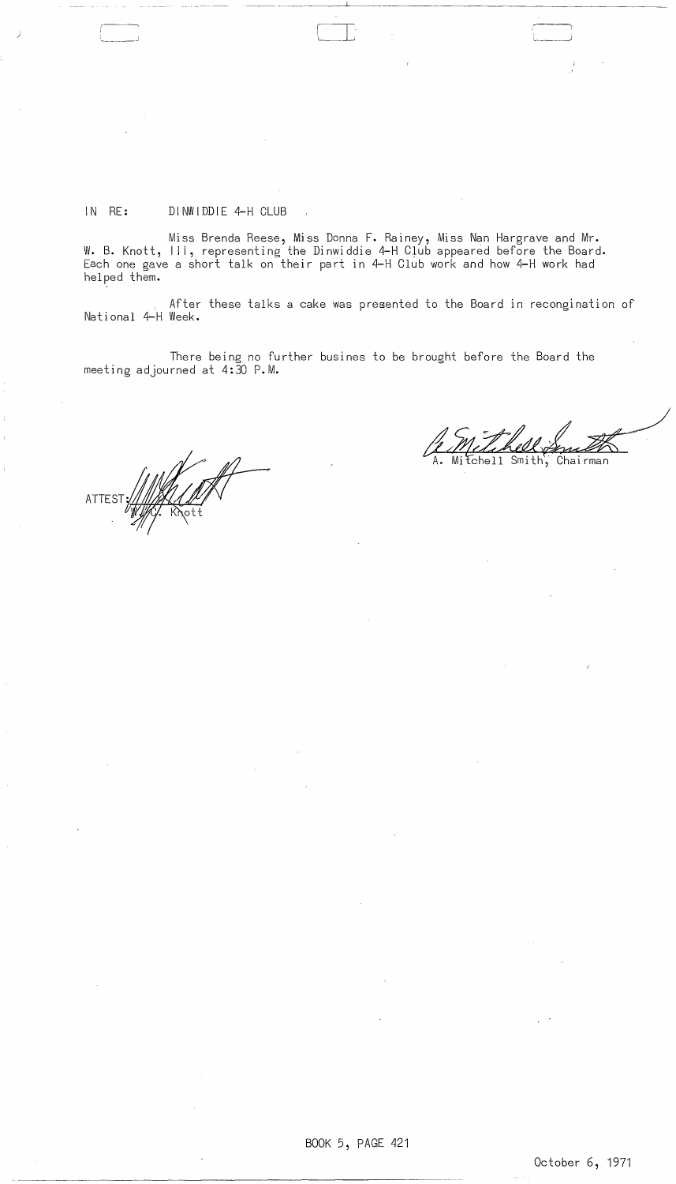# IN RE: DINWIDDIE 4-H CLUB

<sup>j</sup>r [I .. L-.~

Miss Brenda Reese, Miss Donna F. Rainey, Miss Nan Hargrave and Mr. W. B. Knott, III, representing the Dinwiddie 4-H Club appeared before the Board. Each one gave a short talk on their part in 4-H Club work and how 4-H work had helped them.

After these talks a cake was presented to the Board in recongination of National 4-H Week.

There being no further busines to be brought before the Board the meeting adjourned at 4:30 P.M.

ATTEST

 $\mathcal{A}^{\mathcal{A}}$ 

 $\ddot{\phantom{a}}$ 

Le Metchell Smith

 $\mathcal{A}$ 

 $\varphi\to$